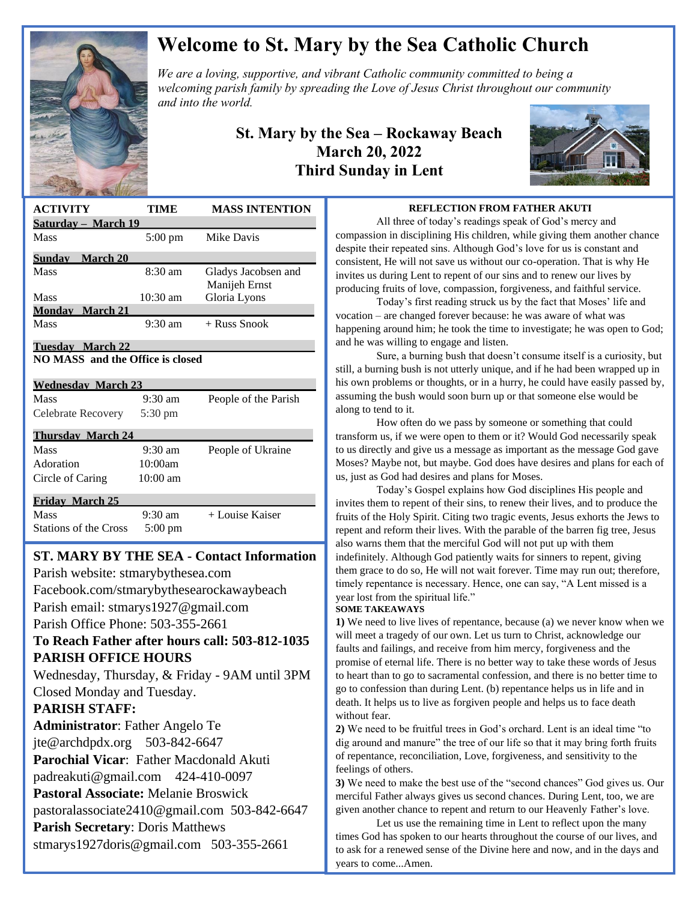

# **Welcome to St. Mary by the Sea Catholic Church**

*We are a loving, supportive, and vibrant Catholic community committed to being a We are a loving, supportive, and vibrant Catholic community committed to being a a spreading the Christ throughout our mitted to being a a manufold of the Christ throughout our mitted to being a a manufold of the Christ welcoming parish family by spreading the Love of Jesus Christ throughout our community and into the world.*

## **St. Mary by the Sea – Rockaway Beach March 20, 2022 Third Sunday in Lent**



| <b>ACTIVITY</b>                         | TIME              | <b>MASS INTENTION</b>                |
|-----------------------------------------|-------------------|--------------------------------------|
| Saturday - March 19                     |                   |                                      |
| Mass                                    | $5:00 \text{ pm}$ | Mike Davis                           |
| <b>Sunday</b> March 20                  |                   |                                      |
| <b>Mass</b>                             | $8:30 \text{ am}$ | Gladys Jacobsen and<br>Manijeh Ernst |
| Mass                                    | $10:30$ am        | Gloria Lyons                         |
| <b>Monday</b> March 21                  |                   |                                      |
| Mass                                    | $9:30 \text{ am}$ | $+$ Russ Snook                       |
| Tuesday March 22                        |                   |                                      |
| <b>NO MASS</b> and the Office is closed |                   |                                      |
| <b>Wednesday March 23</b>               |                   |                                      |
| Mass                                    | $9:30 \text{ am}$ | People of the Parish                 |
| Celebrate Recovery                      | 5:30 pm           |                                      |
| <b>Thursday March 24</b>                |                   |                                      |
| Mass                                    | $9:30$ am         | People of Ukraine                    |
| Adoration                               | 10:00am           |                                      |
| Circle of Caring                        | $10:00$ am        |                                      |
| <b>Friday March 25</b>                  |                   |                                      |
| Mass                                    | $9:30 \text{ am}$ | + Louise Kaiser                      |
| <b>Stations of the Cross</b>            | $5:00 \text{ pm}$ |                                      |
|                                         |                   |                                      |

# **ST. MARY BY THE SEA - Contact Information**

Parish website: stmarybythesea.com

Facebook.com/stmarybythesearockawaybeach

Parish email: stmarys1927@gmail.com Parish Office Phone: 503-355-2661

# **To Reach Father after hours call: 503-812-1035 PARISH OFFICE HOURS**

Wednesday, Thursday, & Friday - 9AM until 3PM Closed Monday and Tuesday.

### **PARISH STAFF:**

 

> **Administrator**: Father Angelo Te jte@archdpdx.org 503-842-6647 **Parochial Vicar**: Father Macdonald Akuti padreakuti@gmail.com 424-410-0097 **Pastoral Associate:** Melanie Broswick pastoralassociate2410@gmail.com 503-842-6647 **Parish Secretary**: Doris Matthews stmarys1927doris@gmail.com 503-355-2661

#### **REFLECTION FROM FATHER AKUTI**

All three of today's readings speak of God's mercy and compassion in disciplining His children, while giving them another chance despite their repeated sins. Although God's love for us is constant and consistent, He will not save us without our co-operation. That is why He invites us during Lent to repent of our sins and to renew our lives by producing fruits of love, compassion, forgiveness, and faithful service.

Today's first reading struck us by the fact that Moses' life and vocation – are changed forever because: he was aware of what was happening around him; he took the time to investigate; he was open to God; and he was willing to engage and listen.

Sure, a burning bush that doesn't consume itself is a curiosity, but still, a burning bush is not utterly unique, and if he had been wrapped up in his own problems or thoughts, or in a hurry, he could have easily passed by, assuming the bush would soon burn up or that someone else would be along to tend to it.

How often do we pass by someone or something that could transform us, if we were open to them or it? Would God necessarily speak to us directly and give us a message as important as the message God gave Moses? Maybe not, but maybe. God does have desires and plans for each of us, just as God had desires and plans for Moses.

Today's Gospel explains how God disciplines His people and invites them to repent of their sins, to renew their lives, and to produce the fruits of the Holy Spirit. Citing two tragic events, Jesus exhorts the Jews to repent and reform their lives. With the parable of the barren fig tree, Jesus also warns them that the merciful God will not put up with them indefinitely. Although God patiently waits for sinners to repent, giving them grace to do so, He will not wait forever. Time may run out; therefore, timely repentance is necessary. Hence, one can say, "A Lent missed is a year lost from the spiritual life."

#### **SOME TAKEAWAYS**

**1)** We need to live lives of repentance, because (a) we never know when we will meet a tragedy of our own. Let us turn to Christ, acknowledge our faults and failings, and receive from him mercy, forgiveness and the promise of eternal life. There is no better way to take these words of Jesus to heart than to go to sacramental confession, and there is no better time to go to confession than during Lent. (b) repentance helps us in life and in death. It helps us to live as forgiven people and helps us to face death without fear.

**2)** We need to be fruitful trees in God's orchard. Lent is an ideal time "to dig around and manure" the tree of our life so that it may bring forth fruits of repentance, reconciliation, Love, forgiveness, and sensitivity to the feelings of others.

**3)** We need to make the best use of the "second chances" God gives us. Our merciful Father always gives us second chances. During Lent, too, we are given another chance to repent and return to our Heavenly Father's love.

Let us use the remaining time in Lent to reflect upon the many times God has spoken to our hearts throughout the course of our lives, and to ask for a renewed sense of the Divine here and now, and in the days and years to come...Amen.